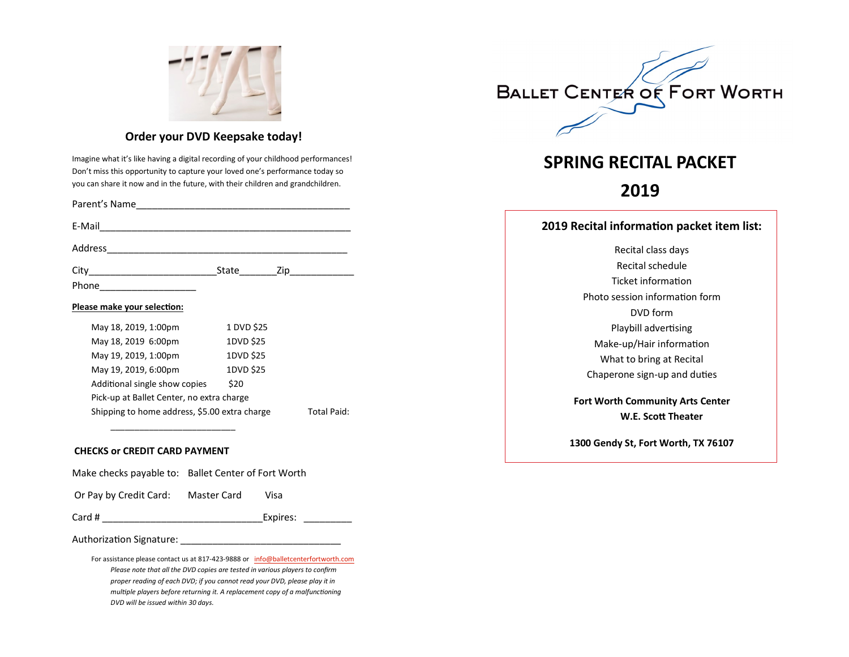

### **Order your DVD Keepsake today!**

Imagine what it's like having a digital recording of your childhood performances! Don't miss this opportunity to capture your loved one's performance today so you can share it now and in the future, with their children and grandchildren.

| Parent's Name                                                       |            |  |  |  |
|---------------------------------------------------------------------|------------|--|--|--|
|                                                                     |            |  |  |  |
|                                                                     |            |  |  |  |
|                                                                     | State Zip  |  |  |  |
| Phone ___________________                                           |            |  |  |  |
| Please make your selection:                                         |            |  |  |  |
| May 18, 2019, 1:00pm                                                | 1 DVD \$25 |  |  |  |
| May 18, 2019 6:00pm                                                 | 1DVD \$25  |  |  |  |
| May 19, 2019, 1:00pm                                                | 1DVD \$25  |  |  |  |
| May 19, 2019, 6:00pm                                                | 1DVD \$25  |  |  |  |
| Additional single show copies                                       | \$20       |  |  |  |
| Pick-up at Ballet Center, no extra charge                           |            |  |  |  |
| Shipping to home address, \$5.00 extra charge<br><b>Total Paid:</b> |            |  |  |  |

#### **CHECKS or CREDIT CARD PAYMENT**

Make checks payable to: Ballet Center of Fort Worth

Or Pay by Credit Card: Master Card Visa

\_\_\_\_\_\_\_\_\_\_\_\_\_\_\_\_\_\_\_\_\_\_\_\_\_\_

Card # \_\_\_\_\_\_\_\_\_\_\_\_\_\_\_\_\_\_\_\_\_\_\_\_\_\_\_\_\_\_Expires: \_\_\_\_\_\_\_\_\_

Authorization Signature: \_\_\_\_\_\_\_\_\_\_\_\_\_\_\_\_\_\_\_\_\_\_\_\_\_\_\_\_\_\_

For assistance please contact us at 817-423-9888 or [info@balletcenterfortworth.com](mailto:info@balletcenterfortworth.com)  *Please note that all the DVD copies are tested in various players to confirm proper reading of each DVD; if you cannot read your DVD, please play it in multiple players before returning it. A replacement copy of a malfunctioning DVD will be issued within 30 days.*



# **SPRING RECITAL PACKET**

# **2019**

#### **2019 Recital information packet item list:**

Recital class days Recital schedule Ticket information Photo session information form DVD form Playbill advertising Make-up/Hair information What to bring at Recital Chaperone sign-up and duties **Fort Worth Community Arts Center W.E. Scott Theater**

**1300 Gendy St, Fort Worth, TX 76107**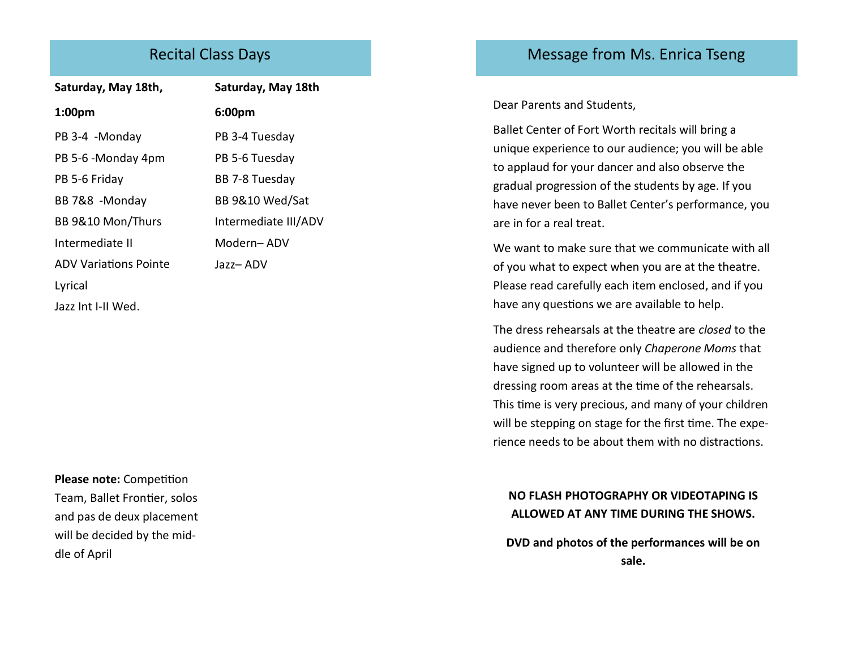# Recital Class Days

| Saturday, May 18th,          | Saturday, May 18th   |
|------------------------------|----------------------|
| 1:00 <sub>pm</sub>           | 6:00pm               |
| PB 3-4 -Monday               | PB 3-4 Tuesday       |
| PB 5-6 -Monday 4pm           | PB 5-6 Tuesday       |
| PB 5-6 Friday                | BB 7-8 Tuesday       |
| BB 7&8 -Monday               | BB 9&10 Wed/Sat      |
| BB 9&10 Mon/Thurs            | Intermediate III/ADV |
| Intermediate II              | Modern-ADV           |
| <b>ADV Variations Pointe</b> | Jazz- ADV            |
| Lyrical                      |                      |
| Jazz Int I-II Wed.           |                      |

**Please note:** Competition Team, Ballet Frontier, solos and pas de deux placement will be decided by the middle of April

# Message from Ms. Enrica Tseng

Dear Parents and Students,

Ballet Center of Fort Worth recitals will bring a unique experience to our audience; you will be able to applaud for your dancer and also observe the gradual progression of the students by age. If you have never been to Ballet Center's performance, you are in for a real treat.

We want to make sure that we communicate with all of you what to expect when you are at the theatre. Please read carefully each item enclosed, and if you have any questions we are available to help.

The dress rehearsals at the theatre are *closed* to the audience and therefore only *Chaperone Moms* that have signed up to volunteer will be allowed in the dressing room areas at the time of the rehearsals. This time is very precious, and many of your children will be stepping on stage for the first time. The experience needs to be about them with no distractions.

## **NO FLASH PHOTOGRAPHY OR VIDEOTAPING IS ALLOWED AT ANY TIME DURING THE SHOWS.**

**DVD and photos of the performances will be on sale.**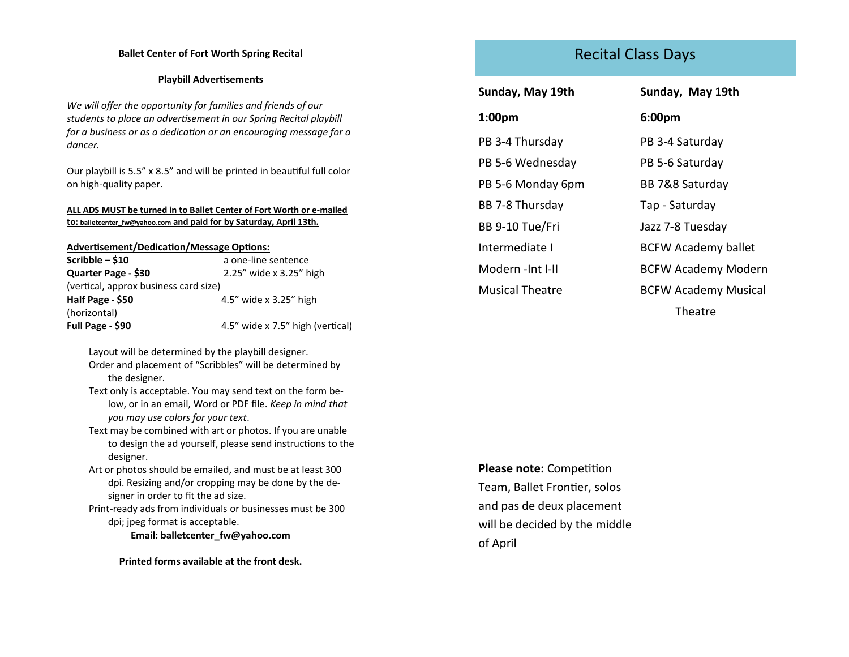#### **Ballet Center of Fort Worth Spring Recital**

#### **Playbill Advertisements**

*We will offer the opportunity for families and friends of our students to place an advertisement in our Spring Recital playbill for a business or as a dedication or an encouraging message for a dancer.*

Our playbill is 5.5" x 8.5" and will be printed in beautiful full color on high-quality paper.

#### **ALL ADS MUST be turned in to Ballet Center of Fort Worth or e-mailed to: balletcenter\_fw@yahoo.com and paid for by Saturday, April 13th.**

#### **Advertisement/Dedication/Message Options:**

| Scribble $-$ \$10                     | a one-line sentence              |  |  |  |
|---------------------------------------|----------------------------------|--|--|--|
| Quarter Page - \$30                   | 2.25" wide x 3.25" high          |  |  |  |
| (vertical, approx business card size) |                                  |  |  |  |
| Half Page - \$50                      | 4.5" wide x 3.25" high           |  |  |  |
| (horizontal)                          |                                  |  |  |  |
| Full Page - \$90                      | 4.5" wide x 7.5" high (vertical) |  |  |  |

Layout will be determined by the playbill designer. Order and placement of "Scribbles" will be determined by the designer.

Text only is acceptable. You may send text on the form below, or in an email, Word or PDF file. *Keep in mind that you may use colors for your text*.

Text may be combined with art or photos. If you are unable to design the ad yourself, please send instructions to the designer.

Art or photos should be emailed, and must be at least 300 dpi. Resizing and/or cropping may be done by the designer in order to fit the ad size.

Print-ready ads from individuals or businesses must be 300 dpi; jpeg format is acceptable.

**Email: balletcenter\_fw@yahoo.com**

**Printed forms available at the front desk.**

# Recital Class Days

**Sunday, May 19th 1:00pm** PB 3-4 Thursday PB 5-6 Wednesday PB 5-6 Monday 6pm

BB 7-8 Thursday

BB 9-10 Tue/Fri

Intermediate I Modern -Int I-II

Musical Theatre

**6:00pm** PB 3-4 Saturday PB 5-6 Saturday BB 7&8 Saturday Tap - Saturday Jazz 7-8 Tuesday BCFW Academy ballet BCFW Academy Modern BCFW Academy Musical Theatre

**Sunday, May 19th**

**Please note:** Competition Team, Ballet Frontier, solos and pas de deux placement will be decided by the middle of April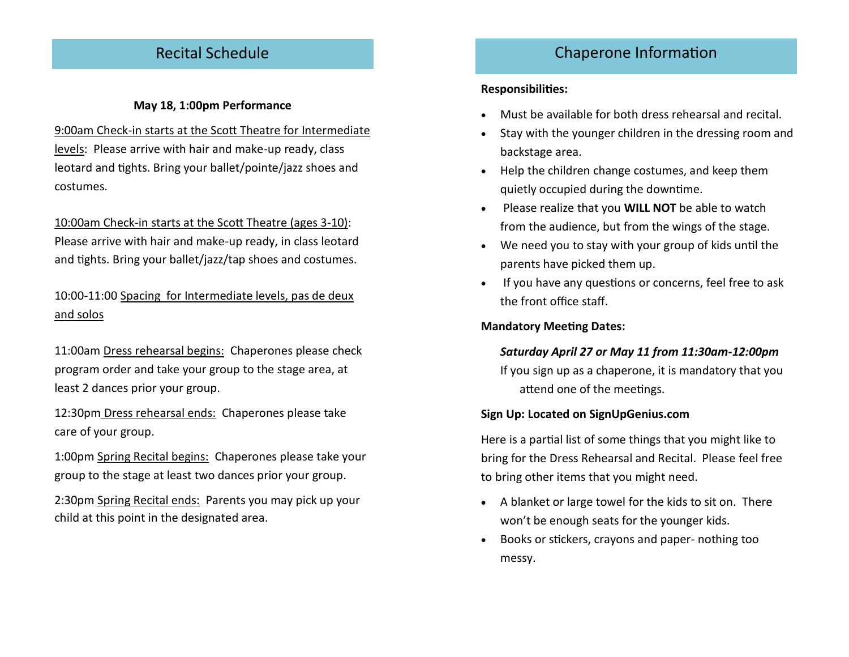# Recital Schedule

### **May 18, 1:00pm Performance**

9:00am Check-in starts at the Scott Theatre for Intermediate levels: Please arrive with hair and make-up ready, class leotard and tights. Bring your ballet/pointe/jazz shoes and costumes.

10:00am Check-in starts at the Scott Theatre (ages 3-10): Please arrive with hair and make-up ready, in class leotard and tights. Bring your ballet/jazz/tap shoes and costumes.

## 10:00-11:00 Spacing for Intermediate levels, pas de deux and solos

11:00am Dress rehearsal begins: Chaperones please check program order and take your group to the stage area, at least 2 dances prior your group.

12:30pm Dress rehearsal ends: Chaperones please take care of your group.

1:00pm Spring Recital begins: Chaperones please take your group to the stage at least two dances prior your group.

2:30pm Spring Recital ends: Parents you may pick up your child at this point in the designated area.

# Chaperone Information

### **Responsibilities:**

- Must be available for both dress rehearsal and recital.
- Stay with the younger children in the dressing room and backstage area.
- Help the children change costumes, and keep them quietly occupied during the downtime.
- Please realize that you **WILL NOT** be able to watch from the audience, but from the wings of the stage.
- We need you to stay with your group of kids until the parents have picked them up.
- If you have any questions or concerns, feel free to ask the front office staff.

**Mandatory Meeting Dates:**

### *Saturday April 27 or May 11 from 11:30am-12:00pm*

If you sign up as a chaperone, it is mandatory that you attend one of the meetings.

### **Sign Up: Located on SignUpGenius.com**

Here is a partial list of some things that you might like to bring for the Dress Rehearsal and Recital. Please feel free to bring other items that you might need.

- A blanket or large towel for the kids to sit on. There won't be enough seats for the younger kids.
- Books or stickers, crayons and paper- nothing too messy.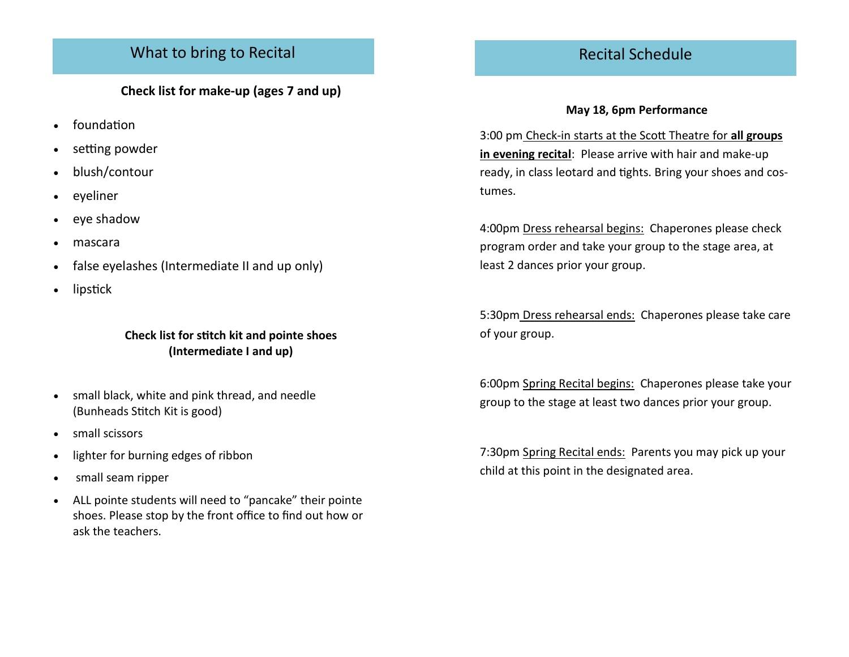# What to bring to Recital

**Check list for make-up (ages 7 and up)**

- foundation
- setting powder
- blush/contour
- eyeliner
- eye shadow
- mascara
- false eyelashes (Intermediate II and up only)
- lipstick

## **Check list for stitch kit and pointe shoes (Intermediate I and up)**

- small black, white and pink thread, and needle (Bunheads Stitch Kit is good)
- small scissors
- lighter for burning edges of ribbon
- small seam ripper
- ALL pointe students will need to "pancake" their pointe shoes. Please stop by the front office to find out how or ask the teachers.

# Recital Schedule

### **May 18, 6pm Performance**

3:00 pm Check-in starts at the Scott Theatre for **all groups in evening recital**: Please arrive with hair and make-up ready, in class leotard and tights. Bring your shoes and costumes.

4:00pm Dress rehearsal begins: Chaperones please check program order and take your group to the stage area, at least 2 dances prior your group.

5:30pm Dress rehearsal ends: Chaperones please take care of your group.

6:00pm Spring Recital begins: Chaperones please take your group to the stage at least two dances prior your group.

7:30pm Spring Recital ends: Parents you may pick up your child at this point in the designated area.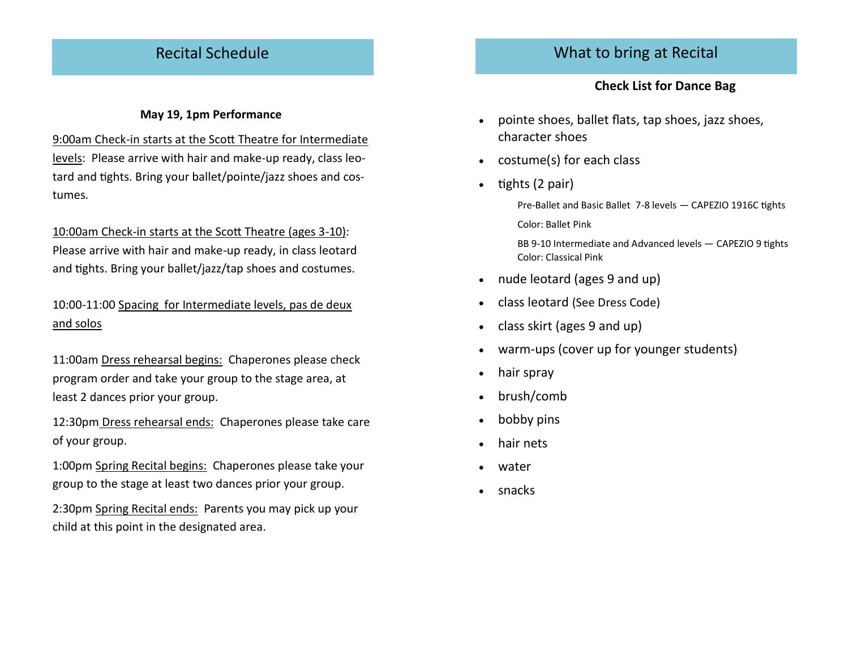# Recital Schedule

### **May 19, 1pm Performance**

9:00am Check-in starts at the Scott Theatre for Intermediate levels: Please arrive with hair and make-up ready, class leotard and tights. Bring your ballet/pointe/jazz shoes and costumes.

10:00am Check-in starts at the Scott Theatre (ages 3-10): Please arrive with hair and make-up ready, in class leotard and tights. Bring your ballet/jazz/tap shoes and costumes.

## 10:00-11:00 Spacing for Intermediate levels, pas de deux and solos

11:00am Dress rehearsal begins: Chaperones please check program order and take your group to the stage area, at least 2 dances prior your group.

12:30pm Dress rehearsal ends: Chaperones please take care of your group.

1:00pm Spring Recital begins: Chaperones please take your group to the stage at least two dances prior your group.

2:30pm Spring Recital ends: Parents you may pick up your child at this point in the designated area.

# What to bring at Recital

### **Check List for Dance Bag**

- pointe shoes, ballet flats, tap shoes, jazz shoes, character shoes
- costume(s) for each class
- $\bullet$  tights (2 pair)

Pre-Ballet and Basic Ballet 7-8 levels — CAPEZIO 1916C tights Color: Ballet Pink

BB 9-10 Intermediate and Advanced levels — CAPEZIO 9 tights Color: Classical Pink

- nude leotard (ages 9 and up)
- class leotard (See Dress Code)
- class skirt (ages 9 and up)
- warm-ups (cover up for younger students)
- hair spray
- brush/comb
- bobby pins
- hair nets
- water
- snacks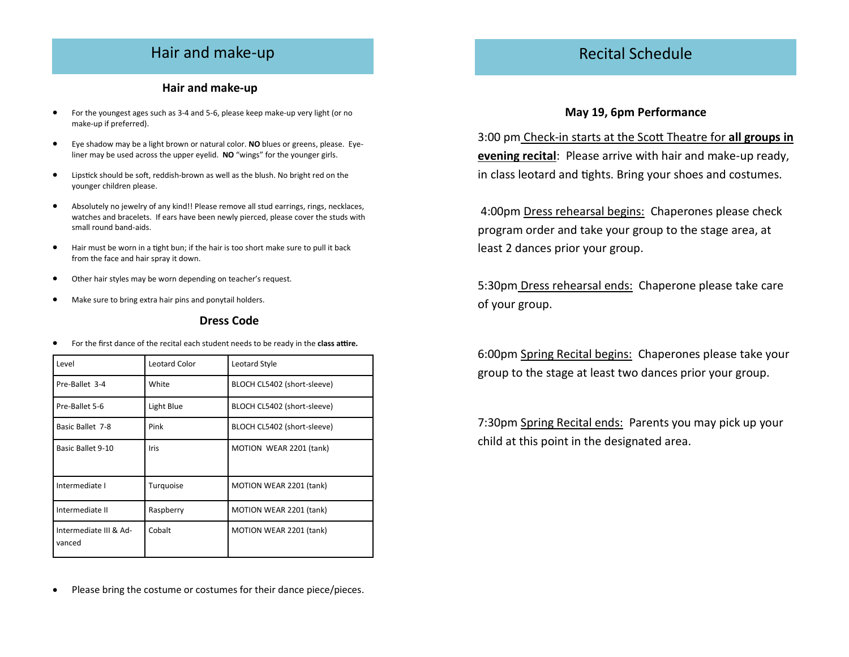## Hair and make-up

#### **Hair and make-up**

- For the youngest ages such as 3-4 and 5-6, please keep make-up very light (or no make-up if preferred).
- Eye shadow may be a light brown or natural color. **NO** blues or greens, please. Eyeliner may be used across the upper eyelid. **NO** "wings" for the younger girls.
- Lipstick should be soft, reddish-brown as well as the blush. No bright red on the younger children please.
- Absolutely no jewelry of any kind!! Please remove all stud earrings, rings, necklaces, watches and bracelets. If ears have been newly pierced, please cover the studs with small round band-aids.
- Hair must be worn in a tight bun; if the hair is too short make sure to pull it back from the face and hair spray it down.
- Other hair styles may be worn depending on teacher's request.
- Make sure to bring extra hair pins and ponytail holders.

#### **Dress Code**

For the first dance of the recital each student needs to be ready in the **class attire.** 

| Level                            | <b>Leotard Color</b> | Leotard Style                  |
|----------------------------------|----------------------|--------------------------------|
| Pre-Ballet 3-4                   | White                | BLOCH CL5402 (short-sleeve)    |
| Pre-Ballet 5-6                   | Light Blue           | BLOCH CL5402 (short-sleeve)    |
| Basic Ballet 7-8                 | Pink                 | BLOCH CL5402 (short-sleeve)    |
| Basic Ballet 9-10                | Iris                 | MOTION WEAR 2201 (tank)        |
| Intermediate I                   | Turquoise            | MOTION WEAR 2201 (tank)        |
| Intermediate II                  | Raspberry            | MOTION WEAR 2201 (tank)        |
| Intermediate III & Ad-<br>vanced | Cobalt               | <b>MOTION WEAR 2201 (tank)</b> |

Please bring the costume or costumes for their dance piece/pieces.

# Recital Schedule

#### **May 19, 6pm Performance**

3:00 pm Check-in starts at the Scott Theatre for **all groups in evening recital**: Please arrive with hair and make-up ready, in class leotard and tights. Bring your shoes and costumes.

4:00pm Dress rehearsal begins: Chaperones please check program order and take your group to the stage area, at least 2 dances prior your group.

5:30pm Dress rehearsal ends: Chaperone please take care of your group.

6:00pm Spring Recital begins: Chaperones please take your group to the stage at least two dances prior your group.

7:30pm Spring Recital ends: Parents you may pick up your child at this point in the designated area.